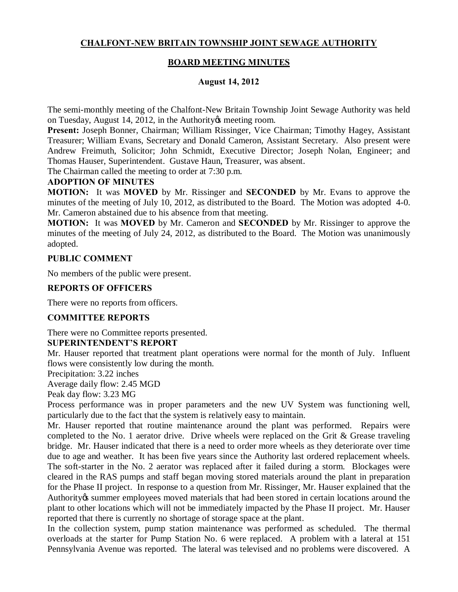# **CHALFONT-NEW BRITAIN TOWNSHIP JOINT SEWAGE AUTHORITY**

# **BOARD MEETING MINUTES**

## **August 14, 2012**

The semi-monthly meeting of the Chalfont-New Britain Township Joint Sewage Authority was held on Tuesday, August 14, 2012, in the Authority & meeting room.

**Present:** Joseph Bonner, Chairman; William Rissinger, Vice Chairman; Timothy Hagey, Assistant Treasurer; William Evans, Secretary and Donald Cameron, Assistant Secretary. Also present were Andrew Freimuth, Solicitor; John Schmidt, Executive Director; Joseph Nolan, Engineer; and Thomas Hauser, Superintendent. Gustave Haun, Treasurer, was absent.

The Chairman called the meeting to order at 7:30 p.m.

#### **ADOPTION OF MINUTES**

**MOTION:** It was **MOVED** by Mr. Rissinger and **SECONDED** by Mr. Evans to approve the minutes of the meeting of July 10, 2012, as distributed to the Board. The Motion was adopted 4-0. Mr. Cameron abstained due to his absence from that meeting.

**MOTION:** It was **MOVED** by Mr. Cameron and **SECONDED** by Mr. Rissinger to approve the minutes of the meeting of July 24, 2012, as distributed to the Board. The Motion was unanimously adopted.

## **PUBLIC COMMENT**

No members of the public were present.

#### **REPORTS OF OFFICERS**

There were no reports from officers.

#### **COMMITTEE REPORTS**

There were no Committee reports presented.

#### **SUPERINTENDENT'S REPORT**

Mr. Hauser reported that treatment plant operations were normal for the month of July. Influent flows were consistently low during the month.

Precipitation: 3.22 inches

Average daily flow: 2.45 MGD

Peak day flow: 3.23 MG

Process performance was in proper parameters and the new UV System was functioning well, particularly due to the fact that the system is relatively easy to maintain.

Mr. Hauser reported that routine maintenance around the plant was performed. Repairs were completed to the No. 1 aerator drive. Drive wheels were replaced on the Grit & Grease traveling bridge. Mr. Hauser indicated that there is a need to order more wheels as they deteriorate over time due to age and weather. It has been five years since the Authority last ordered replacement wheels. The soft-starter in the No. 2 aerator was replaced after it failed during a storm. Blockages were cleared in the RAS pumps and staff began moving stored materials around the plant in preparation for the Phase II project. In response to a question from Mr. Rissinger, Mr. Hauser explained that the Authority is summer employees moved materials that had been stored in certain locations around the plant to other locations which will not be immediately impacted by the Phase II project. Mr. Hauser reported that there is currently no shortage of storage space at the plant.

In the collection system, pump station maintenance was performed as scheduled. The thermal overloads at the starter for Pump Station No. 6 were replaced. A problem with a lateral at 151 Pennsylvania Avenue was reported. The lateral was televised and no problems were discovered. A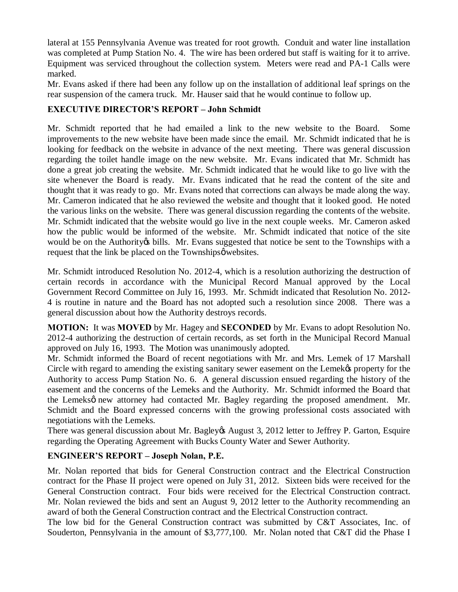lateral at 155 Pennsylvania Avenue was treated for root growth. Conduit and water line installation was completed at Pump Station No. 4. The wire has been ordered but staff is waiting for it to arrive. Equipment was serviced throughout the collection system. Meters were read and PA-1 Calls were marked.

Mr. Evans asked if there had been any follow up on the installation of additional leaf springs on the rear suspension of the camera truck. Mr. Hauser said that he would continue to follow up.

# **EXECUTIVE DIRECTOR'S REPORT – John Schmidt**

Mr. Schmidt reported that he had emailed a link to the new website to the Board. Some improvements to the new website have been made since the email. Mr. Schmidt indicated that he is looking for feedback on the website in advance of the next meeting. There was general discussion regarding the toilet handle image on the new website. Mr. Evans indicated that Mr. Schmidt has done a great job creating the website. Mr. Schmidt indicated that he would like to go live with the site whenever the Board is ready. Mr. Evans indicated that he read the content of the site and thought that it was ready to go. Mr. Evans noted that corrections can always be made along the way. Mr. Cameron indicated that he also reviewed the website and thought that it looked good. He noted the various links on the website. There was general discussion regarding the contents of the website. Mr. Schmidt indicated that the website would go live in the next couple weeks. Mr. Cameron asked how the public would be informed of the website. Mr. Schmidt indicated that notice of the site would be on the Authority is bills. Mr. Evans suggested that notice be sent to the Townships with a request that the link be placed on the Townships  $\phi$  websites.

Mr. Schmidt introduced Resolution No. 2012-4, which is a resolution authorizing the destruction of certain records in accordance with the Municipal Record Manual approved by the Local Government Record Committee on July 16, 1993. Mr. Schmidt indicated that Resolution No. 2012- 4 is routine in nature and the Board has not adopted such a resolution since 2008. There was a general discussion about how the Authority destroys records.

**MOTION:** It was **MOVED** by Mr. Hagey and **SECONDED** by Mr. Evans to adopt Resolution No. 2012-4 authorizing the destruction of certain records, as set forth in the Municipal Record Manual approved on July 16, 1993. The Motion was unanimously adopted.

Mr. Schmidt informed the Board of recent negotiations with Mr. and Mrs. Lemek of 17 Marshall Circle with regard to amending the existing sanitary sewer easement on the Lemek $\alpha$  property for the Authority to access Pump Station No. 6. A general discussion ensued regarding the history of the easement and the concerns of the Lemeks and the Authority. Mr. Schmidt informed the Board that the Lemeksø new attorney had contacted Mr. Bagley regarding the proposed amendment. Mr. Schmidt and the Board expressed concerns with the growing professional costs associated with negotiations with the Lemeks.

There was general discussion about Mr. Bagley & August 3, 2012 letter to Jeffrey P. Garton, Esquire regarding the Operating Agreement with Bucks County Water and Sewer Authority.

# **ENGINEER'S REPORT – Joseph Nolan, P.E.**

Mr. Nolan reported that bids for General Construction contract and the Electrical Construction contract for the Phase II project were opened on July 31, 2012. Sixteen bids were received for the General Construction contract. Four bids were received for the Electrical Construction contract. Mr. Nolan reviewed the bids and sent an August 9, 2012 letter to the Authority recommending an award of both the General Construction contract and the Electrical Construction contract.

The low bid for the General Construction contract was submitted by C&T Associates, Inc. of Souderton, Pennsylvania in the amount of \$3,777,100. Mr. Nolan noted that C&T did the Phase I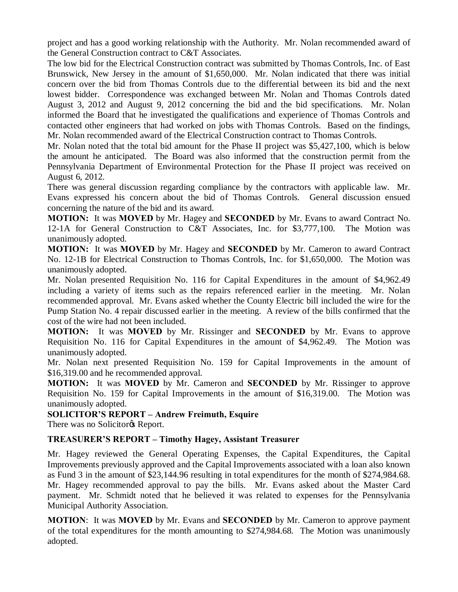project and has a good working relationship with the Authority. Mr. Nolan recommended award of the General Construction contract to C&T Associates.

The low bid for the Electrical Construction contract was submitted by Thomas Controls, Inc. of East Brunswick, New Jersey in the amount of \$1,650,000. Mr. Nolan indicated that there was initial concern over the bid from Thomas Controls due to the differential between its bid and the next lowest bidder. Correspondence was exchanged between Mr. Nolan and Thomas Controls dated August 3, 2012 and August 9, 2012 concerning the bid and the bid specifications. Mr. Nolan informed the Board that he investigated the qualifications and experience of Thomas Controls and contacted other engineers that had worked on jobs with Thomas Controls. Based on the findings, Mr. Nolan recommended award of the Electrical Construction contract to Thomas Controls.

Mr. Nolan noted that the total bid amount for the Phase II project was \$5,427,100, which is below the amount he anticipated. The Board was also informed that the construction permit from the Pennsylvania Department of Environmental Protection for the Phase II project was received on August 6, 2012.

There was general discussion regarding compliance by the contractors with applicable law. Mr. Evans expressed his concern about the bid of Thomas Controls. General discussion ensued concerning the nature of the bid and its award.

**MOTION:** It was **MOVED** by Mr. Hagey and **SECONDED** by Mr. Evans to award Contract No. 12-1A for General Construction to C&T Associates, Inc. for \$3,777,100. The Motion was unanimously adopted.

**MOTION:** It was **MOVED** by Mr. Hagey and **SECONDED** by Mr. Cameron to award Contract No. 12-1B for Electrical Construction to Thomas Controls, Inc. for \$1,650,000. The Motion was unanimously adopted.

Mr. Nolan presented Requisition No. 116 for Capital Expenditures in the amount of \$4,962.49 including a variety of items such as the repairs referenced earlier in the meeting. Mr. Nolan recommended approval. Mr. Evans asked whether the County Electric bill included the wire for the Pump Station No. 4 repair discussed earlier in the meeting. A review of the bills confirmed that the cost of the wire had not been included.

**MOTION:** It was **MOVED** by Mr. Rissinger and **SECONDED** by Mr. Evans to approve Requisition No. 116 for Capital Expenditures in the amount of \$4,962.49. The Motion was unanimously adopted.

Mr. Nolan next presented Requisition No. 159 for Capital Improvements in the amount of \$16,319.00 and he recommended approval.

**MOTION:** It was **MOVED** by Mr. Cameron and **SECONDED** by Mr. Rissinger to approve Requisition No. 159 for Capital Improvements in the amount of \$16,319.00. The Motion was unanimously adopted.

#### **SOLICITOR'S REPORT – Andrew Freimuth, Esquire**

There was no Solicitor<sub>®</sub> Report.

# **TREASURER'S REPORT – Timothy Hagey, Assistant Treasurer**

Mr. Hagey reviewed the General Operating Expenses, the Capital Expenditures, the Capital Improvements previously approved and the Capital Improvements associated with a loan also known as Fund 3 in the amount of \$23,144.96 resulting in total expenditures for the month of \$274,984.68. Mr. Hagey recommended approval to pay the bills. Mr. Evans asked about the Master Card payment. Mr. Schmidt noted that he believed it was related to expenses for the Pennsylvania Municipal Authority Association.

**MOTION**: It was **MOVED** by Mr. Evans and **SECONDED** by Mr. Cameron to approve payment of the total expenditures for the month amounting to \$274,984.68. The Motion was unanimously adopted.